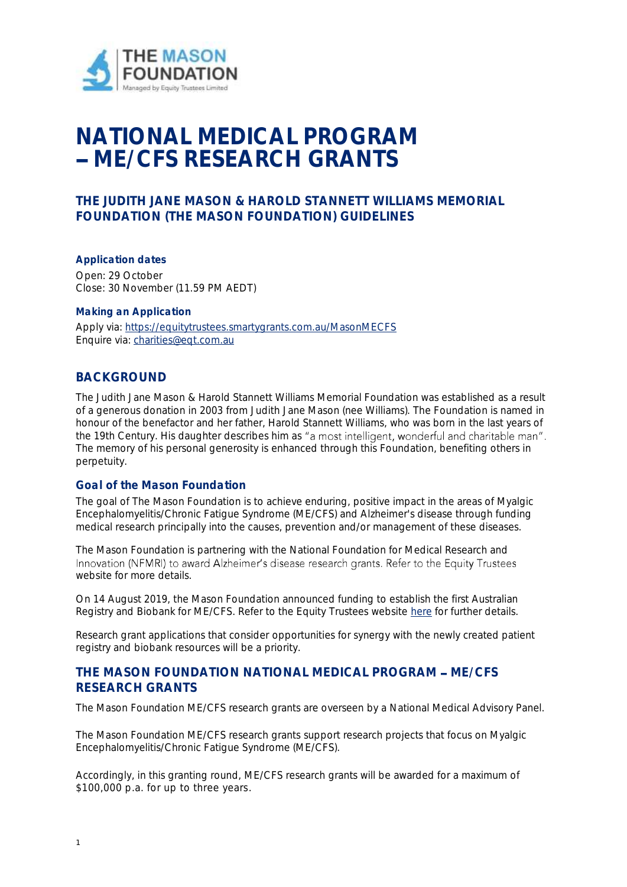

# **NATIONAL MEDICAL PROGRAM ME/CFS RESEARCH GRANTS**

# **THE JUDITH JANE MASON & HAROLD STANNETT WILLIAMS MEMORIAL FOUNDATION (THE MASON FOUNDATION) GUIDELINES**

**Application dates** Open: 29 October Close: 30 November (11.59 PM AEDT)

#### **Making an Application**

Apply via: https://equitytrustees.smartygrants.com.au/MasonMECFS Enquire via: [charities@eqt.com.au](mailto:charities@eqt.com.au)

# **BACKGROUND**

The Judith Jane Mason & Harold Stannett Williams Memorial Foundation was established as a result of a generous donation in 2003 from Judith Jane Mason (nee Williams). The Foundation is named in honour of the benefactor and her father, Harold Stannett Williams, who was born in the last years of the 19th Century. His daughter describes him as "a most intelligent, wonderful and charitable man". The memory of his personal generosity is enhanced through this Foundation, benefiting others in perpetuity.

#### **Goal of the Mason Foundation**

The goal of The Mason Foundation is to achieve enduring, positive impact in the areas of Myalgic Encephalomyelitis/Chronic Fatigue Syndrome (ME/CFS) and Alzheimer's disease through funding medical research principally into the causes, prevention and/or management of these diseases.

The Mason Foundation is partnering with the National Foundation for Medical Research and Innovation (NFMRI) to award Alzheimer's disease research grants. Refer to the Equity Trustees website for more details.

On 14 August 2019, the Mason Foundation announced funding to establish the first Australian Registry and Biobank for ME/CFS. Refer to the Equity Trustees website [here](https://www.eqt.com.au/about-us/media-centre/news-items/whats-new/a-bold-decision-to-back-a-plan-for-a-breakthrough) for further details.

Research grant applications that consider opportunities for synergy with the newly created patient registry and biobank resources will be a priority.

# **THE MASON FOUNDATION NATIONAL MEDICAL PROGRAM - ME/CFS RESEARCH GRANTS**

The Mason Foundation ME/CFS research grants are overseen by a National Medical Advisory Panel.

The Mason Foundation ME/CFS research grants support research projects that focus on Myalgic Encephalomyelitis/Chronic Fatigue Syndrome (ME/CFS).

Accordingly, in this granting round, ME/CFS research grants will be awarded for a maximum of \$100,000 p.a. for up to three years.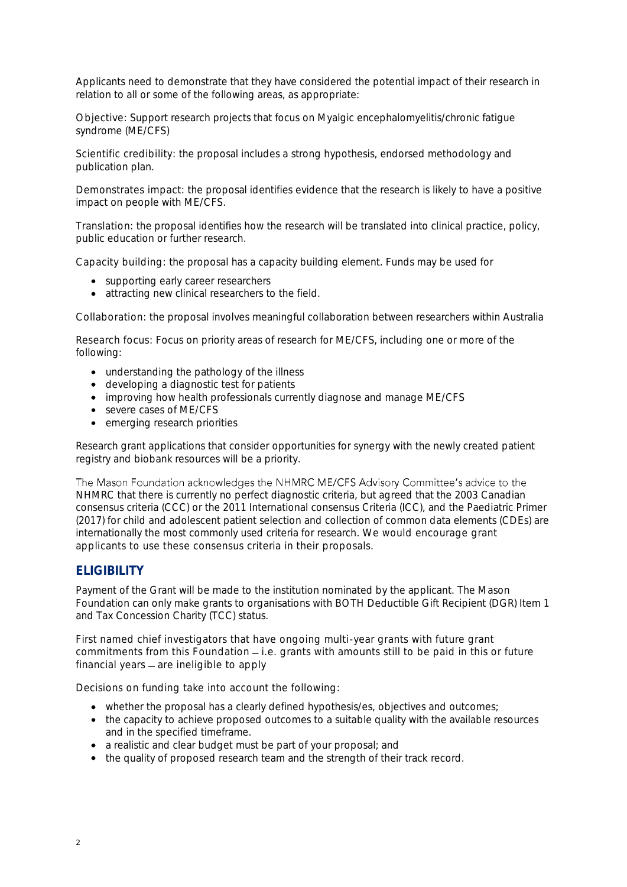Applicants need to demonstrate that they have considered the potential impact of their research in relation to all or some of the following areas, as appropriate:

Objective: Support research projects that focus on Myalgic encephalomyelitis/chronic fatigue syndrome (ME/CFS)

Scientific credibility: the proposal includes a strong hypothesis, endorsed methodology and publication plan.

Demonstrates impact: the proposal identifies evidence that the research is likely to have a positive impact on people with ME/CFS.

Translation: the proposal identifies how the research will be translated into clinical practice, policy, public education or further research.

Capacity building: the proposal has a capacity building element. Funds may be used for

- supporting early career researchers
- attracting new clinical researchers to the field.

Collaboration: the proposal involves meaningful collaboration between researchers within Australia

Research focus: Focus on priority areas of research for ME/CFS, including one or more of the following:

- understanding the pathology of the illness
- developing a diagnostic test for patients
- improving how health professionals currently diagnose and manage ME/CFS
- severe cases of ME/CFS
- emerging research priorities

Research grant applications that consider opportunities for synergy with the newly created patient registry and biobank resources will be a priority.

The Mason Foundation acknowledges the NHMRC ME/CFS Advisory Committee's advice to the NHMRC that there is currently no perfect diagnostic criteria, but agreed that the 2003 Canadian consensus criteria (CCC) or the 2011 International consensus Criteria (ICC), and the Paediatric Primer (2017) for child and adolescent patient selection and collection of common data elements (CDEs) are internationally the most commonly used criteria for research. We would encourage grant applicants to use these consensus criteria in their proposals.

# **ELIGIBILITY**

Payment of the Grant will be made to the institution nominated by the applicant. The Mason Foundation can only make grants to organisations with BOTH Deductible Gift Recipient (DGR) Item 1 and Tax Concession Charity (TCC) status.

First named chief investigators that have ongoing multi-year grants with future grant commitments from this Foundation  $-$  i.e. grants with amounts still to be paid in this or future financial years  $-$  are ineligible to apply

Decisions on funding take into account the following:

- whether the proposal has a clearly defined hypothesis/es, objectives and outcomes;
- the capacity to achieve proposed outcomes to a suitable quality with the available resources and in the specified timeframe.
- a realistic and clear budget must be part of your proposal; and
- the quality of proposed research team and the strength of their track record.